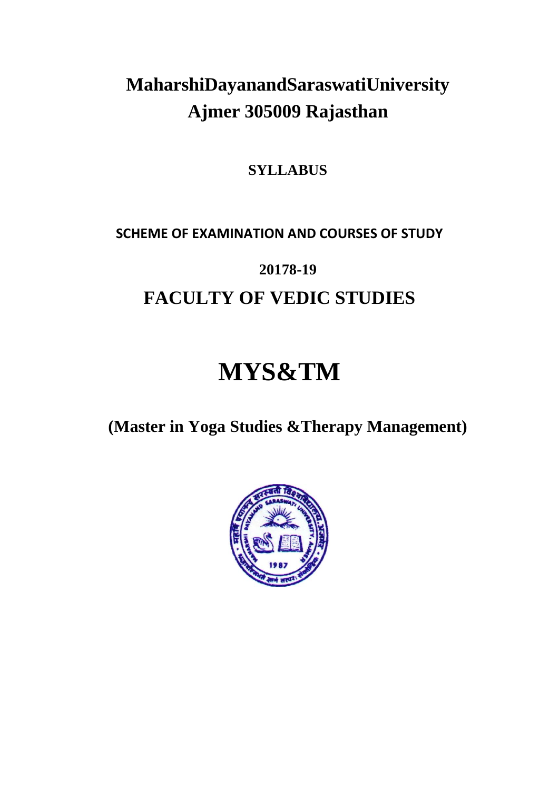# **MaharshiDayanandSaraswatiUniversity Ajmer 305009 Rajasthan**

**SYLLABUS**

# **SCHEME OF EXAMINATION AND COURSES OF STUDY**

# **20178-19**

# **FACULTY OF VEDIC STUDIES**

# **MYS&TM**

**(Master in Yoga Studies &Therapy Management)**

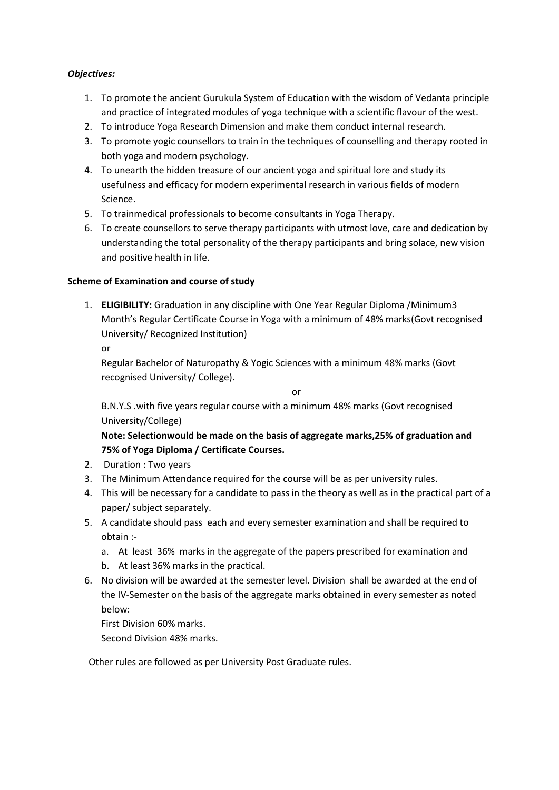# *Objectives:*

- 1. To promote the ancient Gurukula System of Education with the wisdom of Vedanta principle and practice of integrated modules of yoga technique with a scientific flavour of the west.
- 2. To introduce Yoga Research Dimension and make them conduct internal research.
- 3. To promote yogic counsellors to train in the techniques of counselling and therapy rooted in both yoga and modern psychology.
- 4. To unearth the hidden treasure of our ancient yoga and spiritual lore and study its usefulness and efficacy for modern experimental research in various fields of modern Science.
- 5. To trainmedical professionals to become consultants in Yoga Therapy.
- 6. To create counsellors to serve therapy participants with utmost love, care and dedication by understanding the total personality of the therapy participants and bring solace, new vision and positive health in life.

# **Scheme of Examination and course of study**

1. **ELIGIBILITY:** Graduation in any discipline with One Year Regular Diploma /Minimum3 Month's Regular Certificate Course in Yoga with a minimum of 48% marks(Govt recognised University/ Recognized Institution)

or

Regular Bachelor of Naturopathy & Yogic Sciences with a minimum 48% marks (Govt recognised University/ College).

or

B.N.Y.S .with five years regular course with a minimum 48% marks (Govt recognised University/College)

**Note: Selectionwould be made on the basis of aggregate marks,25% of graduation and 75% of Yoga Diploma / Certificate Courses.**

- 2. Duration : Two years
- 3. The Minimum Attendance required for the course will be as per university rules.
- 4. This will be necessary for a candidate to pass in the theory as well as in the practical part of a paper/ subject separately.
- 5. A candidate should pass each and every semester examination and shall be required to obtain :
	- a. At least 36% marks in the aggregate of the papers prescribed for examination and
	- b. At least 36% marks in the practical.
- 6. No division will be awarded at the semester level. Division shall be awarded at the end of the IV-Semester on the basis of the aggregate marks obtained in every semester as noted below:

First Division 60% marks.

Second Division 48% marks.

Other rules are followed as per University Post Graduate rules.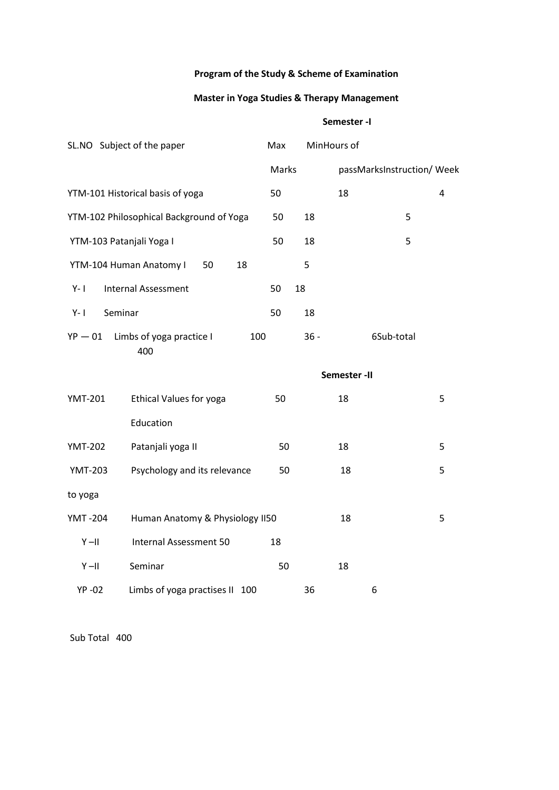# **Program of the Study & Scheme of Examination**

# **Master in Yoga Studies & Therapy Management**

# **Semester -I**

|                          | SL.NO Subject of the paper               | Max   | MinHours of |                            |   |
|--------------------------|------------------------------------------|-------|-------------|----------------------------|---|
|                          |                                          | Marks |             | passMarksInstruction/ Week |   |
|                          | YTM-101 Historical basis of yoga         | 50    |             | 18                         | 4 |
|                          | YTM-102 Philosophical Background of Yoga | 50    | 18          | 5                          |   |
| YTM-103 Patanjali Yoga I |                                          | 50    | 18          | 5                          |   |
|                          | YTM-104 Human Anatomy I<br>18<br>50      |       | 5           |                            |   |
| $Y - I$                  | <b>Internal Assessment</b>               | 50    | 18          |                            |   |
| Seminar<br>$Y - I$       |                                          | 50    | 18          |                            |   |
| $YP - 01$                | Limbs of yoga practice I<br>100<br>400   |       | $36 -$      | 6Sub-total                 |   |
|                          |                                          |       |             | Semester-II                |   |
| <b>YMT-201</b>           | <b>Ethical Values for yoga</b>           | 50    |             | 18                         | 5 |
|                          | Education                                |       |             |                            |   |
| <b>YMT-202</b>           | Patanjali yoga II                        | 50    |             | 18                         | 5 |
| <b>YMT-203</b>           | Psychology and its relevance             | 50    |             | 18                         | 5 |
| to yoga                  |                                          |       |             |                            |   |
| <b>YMT-204</b>           | Human Anatomy & Physiology II50          |       |             | 18                         | 5 |
| $Y - II$                 | Internal Assessment 50                   | 18    |             |                            |   |
| $Y-II$                   | Seminar                                  | 50    |             | 18                         |   |
| <b>YP-02</b>             | Limbs of yoga practises II 100           |       | 36          | 6                          |   |

Sub Total 400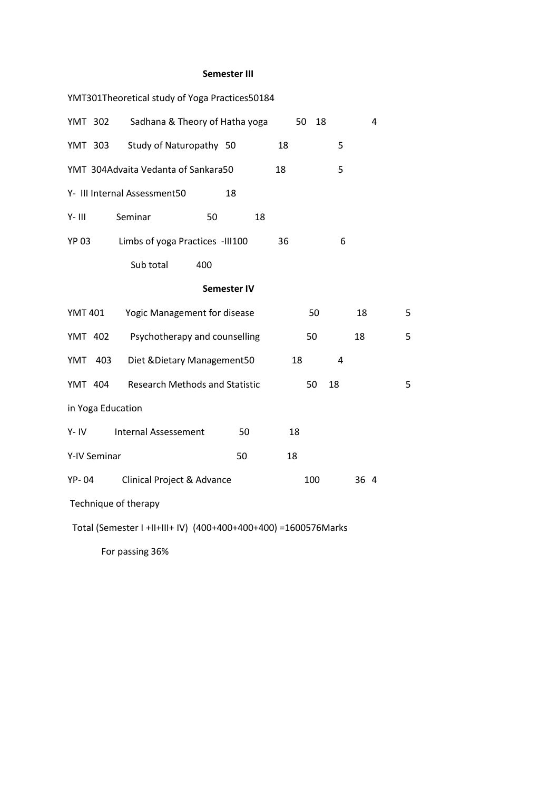# **Semester III**

|                      | YMT301Theoretical study of Yoga Practices50184                 |                    |    |    |     |    |      |   |   |
|----------------------|----------------------------------------------------------------|--------------------|----|----|-----|----|------|---|---|
| <b>YMT 302</b>       | Sadhana & Theory of Hatha yoga                                 |                    |    | 50 | 18  |    |      | 4 |   |
| YMT 303              | Study of Naturopathy 50                                        |                    |    | 18 |     | 5  |      |   |   |
|                      | YMT 304Advaita Vedanta of Sankara50                            |                    |    | 18 |     | 5  |      |   |   |
|                      | Y- III Internal Assessment50                                   |                    | 18 |    |     |    |      |   |   |
| $Y - III$            | Seminar                                                        | 50                 | 18 |    |     |    |      |   |   |
| <b>YP 03</b>         | Limbs of yoga Practices -III100                                |                    |    | 36 |     | 6  |      |   |   |
|                      | Sub total                                                      | 400                |    |    |     |    |      |   |   |
|                      |                                                                | <b>Semester IV</b> |    |    |     |    |      |   |   |
| <b>YMT 401</b>       | Yogic Management for disease                                   |                    |    |    | 50  |    | 18   |   | 5 |
| <b>YMT 402</b>       | Psychotherapy and counselling                                  |                    |    |    | 50  |    | 18   |   | 5 |
| YMT<br>403           | Diet & Dietary Management 50                                   |                    |    | 18 |     | 4  |      |   |   |
| YMT 404              | <b>Research Methods and Statistic</b>                          |                    |    |    | 50  | 18 |      |   | 5 |
| in Yoga Education    |                                                                |                    |    |    |     |    |      |   |   |
| $Y - IV$             | <b>Internal Assessement</b>                                    |                    | 50 | 18 |     |    |      |   |   |
| Y-IV Seminar         |                                                                |                    | 50 | 18 |     |    |      |   |   |
| <b>YP-04</b>         | Clinical Project & Advance                                     |                    |    |    | 100 |    | 36 4 |   |   |
| Technique of therapy |                                                                |                    |    |    |     |    |      |   |   |
|                      | Total (Semester I +II+III+ IV) (400+400+400+400) =1600576Marks |                    |    |    |     |    |      |   |   |

For passing 36%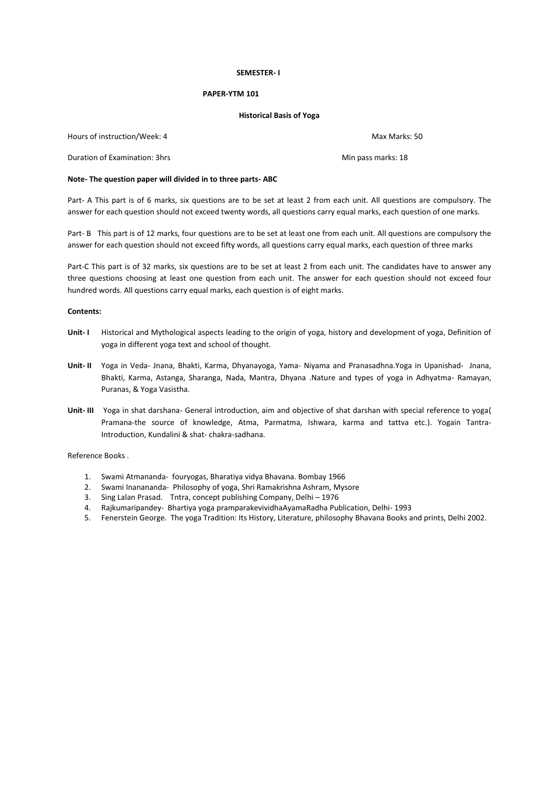#### **SEMESTER- I**

#### **PAPER-YTM 101**

#### **Historical Basis of Yoga**

Hours of instruction/Week: 4 Max Marks: 50

Duration of Examination: 3hrs Min pass marks: 18

#### **Note- The question paper will divided in to three parts- ABC**

Part- A This part is of 6 marks, six questions are to be set at least 2 from each unit. All questions are compulsory. The answer for each question should not exceed twenty words, all questions carry equal marks, each question of one marks.

Part- B This part is of 12 marks, four questions are to be set at least one from each unit. All questions are compulsory the answer for each question should not exceed fifty words, all questions carry equal marks, each question of three marks

Part-C This part is of 32 marks, six questions are to be set at least 2 from each unit. The candidates have to answer any three questions choosing at least one question from each unit. The answer for each question should not exceed four hundred words. All questions carry equal marks, each question is of eight marks.

# **Contents:**

- **Unit- I** Historical and Mythological aspects leading to the origin of yoga, history and development of yoga, Definition of yoga in different yoga text and school of thought.
- **Unit- II** Yoga in Veda- Jnana, Bhakti, Karma, Dhyanayoga, Yama- Niyama and Pranasadhna.Yoga in Upanishad- Jnana, Bhakti, Karma, Astanga, Sharanga, Nada, Mantra, Dhyana .Nature and types of yoga in Adhyatma- Ramayan, Puranas, & Yoga Vasistha.
- **Unit- III** Yoga in shat darshana- General introduction, aim and objective of shat darshan with special reference to yoga( Pramana-the source of knowledge, Atma, Parmatma, Ishwara, karma and tattva etc.). Yogain Tantra-Introduction, Kundalini & shat- chakra-sadhana.

Reference Books .

- 1. Swami Atmananda- fouryogas, Bharatiya vidya Bhavana. Bombay 1966
- 2. Swami Inanananda- Philosophy of yoga, Shri Ramakrishna Ashram, Mysore
- 3. Sing Lalan Prasad. Tntra, concept publishing Company, Delhi 1976
- 4. Rajkumaripandey- Bhartiya yoga pramparakevividhaAyamaRadha Publication, Delhi- 1993
- 5. Fenerstein George. The yoga Tradition: Its History, Literature, philosophy Bhavana Books and prints, Delhi 2002.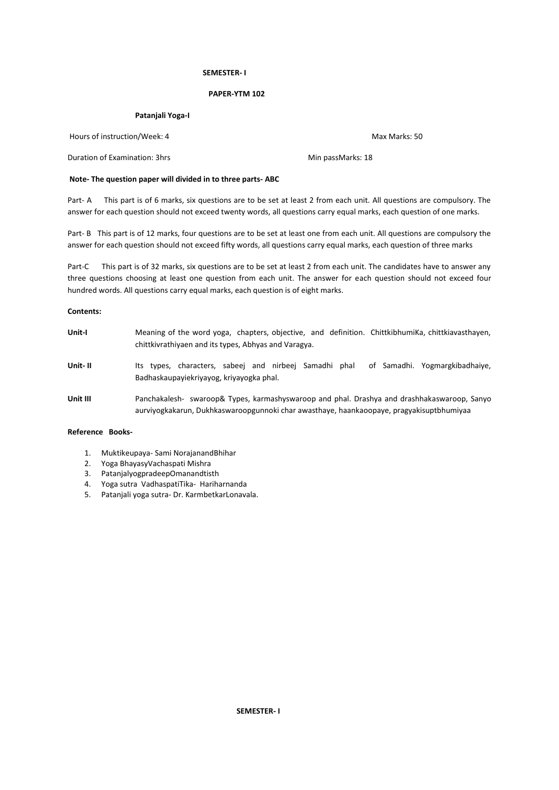# **SEMESTER- I**

# **PAPER-YTM 102**

## **Patanjali Yoga-I**

Hours of instruction/Week: 4 Max Marks: 50

Duration of Examination: 3hrs Min passMarks: 18

# **Note- The question paper will divided in to three parts- ABC**

Part- A This part is of 6 marks, six questions are to be set at least 2 from each unit. All questions are compulsory. The answer for each question should not exceed twenty words, all questions carry equal marks, each question of one marks.

Part- B This part is of 12 marks, four questions are to be set at least one from each unit. All questions are compulsory the answer for each question should not exceed fifty words, all questions carry equal marks, each question of three marks

Part-C This part is of 32 marks, six questions are to be set at least 2 from each unit. The candidates have to answer any three questions choosing at least one question from each unit. The answer for each question should not exceed four hundred words. All questions carry equal marks, each question is of eight marks.

# **Contents:**

**Unit-I** Meaning of the word yoga, chapters, objective, and definition. ChittkibhumiKa, chittkiavasthayen, chittkivrathiyaen and its types, Abhyas and Varagya. **Unit- II** Its types, characters, sabeej and nirbeej Samadhi phal of Samadhi. Yogmargkibadhaiye, Badhaskaupayiekriyayog, kriyayogka phal. **Unit III** Panchakalesh- swaroop& Types, karmashyswaroop and phal. Drashya and drashhakaswaroop, Sanyo aurviyogkakarun, Dukhkaswaroopgunnoki char awasthaye, haankaoopaye, pragyakisuptbhumiyaa

# **Reference Books-**

- 1. Muktikeupaya- Sami NorajanandBhihar
- 2. Yoga BhayasyVachaspati Mishra
- 3. PatanjalyogpradeepOmanandtisth
- 4. Yoga sutra VadhaspatiTika- Hariharnanda
- 5. Patanjali yoga sutra- Dr. KarmbetkarLonavala.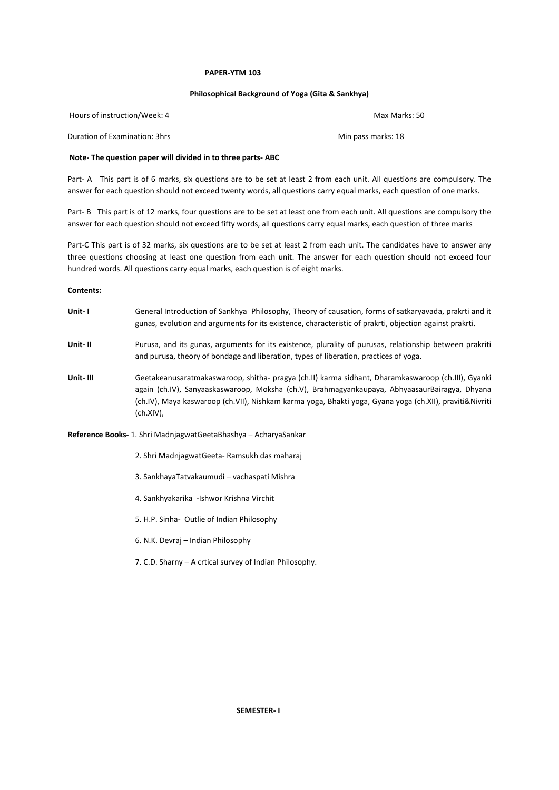#### **PAPER-YTM 103**

# **Philosophical Background of Yoga (Gita & Sankhya)**

| Hours of instruction/Week: 4 | Max Marks: 50 |
|------------------------------|---------------|
|                              |               |

Duration of Examination: 3hrs Min pass marks: 18

# **Note- The question paper will divided in to three parts- ABC**

Part- A This part is of 6 marks, six questions are to be set at least 2 from each unit. All questions are compulsory. The answer for each question should not exceed twenty words, all questions carry equal marks, each question of one marks.

Part- B This part is of 12 marks, four questions are to be set at least one from each unit. All questions are compulsory the answer for each question should not exceed fifty words, all questions carry equal marks, each question of three marks

Part-C This part is of 32 marks, six questions are to be set at least 2 from each unit. The candidates have to answer any three questions choosing at least one question from each unit. The answer for each question should not exceed four hundred words. All questions carry equal marks, each question is of eight marks.

**Contents:**

- **Unit- I** General Introduction of Sankhya Philosophy, Theory of causation, forms of satkaryavada, prakrti and it gunas, evolution and arguments for its existence, characteristic of prakrti, objection against prakrti.
- **Unit- II** Purusa, and its gunas, arguments for its existence, plurality of purusas, relationship between prakriti and purusa, theory of bondage and liberation, types of liberation, practices of yoga.
- **Unit- III** Geetakeanusaratmakaswaroop, shitha- pragya (ch.II) karma sidhant, Dharamkaswaroop (ch.III), Gyanki again (ch.IV), Sanyaaskaswaroop, Moksha (ch.V), Brahmagyankaupaya, AbhyaasaurBairagya, Dhyana (ch.IV), Maya kaswaroop (ch.VII), Nishkam karma yoga, Bhakti yoga, Gyana yoga (ch.XII), praviti&Nivriti (ch.XIV),

**Reference Books-** 1. Shri MadnjagwatGeetaBhashya – AcharyaSankar

- 2. Shri MadnjagwatGeeta- Ramsukh das maharaj
- 3. SankhayaTatvakaumudi vachaspati Mishra
- 4. Sankhyakarika -Ishwor Krishna Virchit
- 5. H.P. Sinha- Outlie of Indian Philosophy
- 6. N.K. Devraj Indian Philosophy
- 7. C.D. Sharny A crtical survey of Indian Philosophy.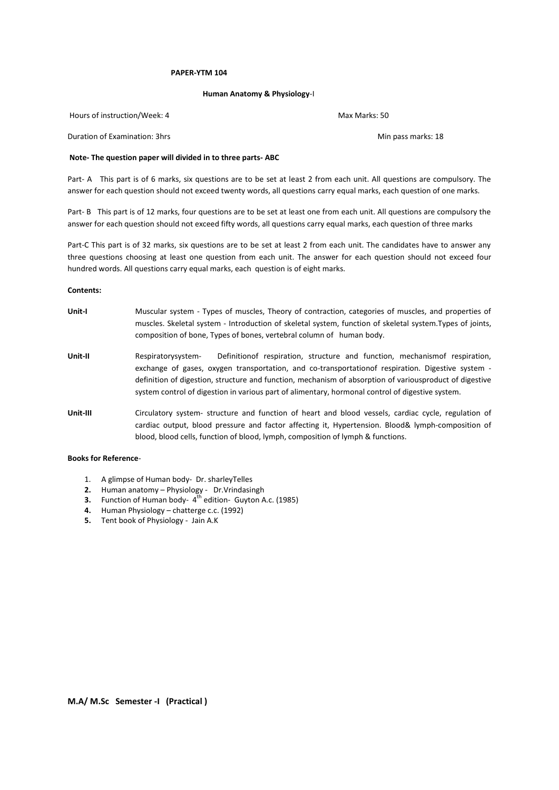## **PAPER-YTM 104**

#### **Human Anatomy & Physiology**-I

Hours of instruction/Week: 4 May Max Marks: 50

Duration of Examination: 3hrs Min pass marks: 18

# **Note- The question paper will divided in to three parts- ABC**

Part- A This part is of 6 marks, six questions are to be set at least 2 from each unit. All questions are compulsory. The answer for each question should not exceed twenty words, all questions carry equal marks, each question of one marks.

Part- B This part is of 12 marks, four questions are to be set at least one from each unit. All questions are compulsory the answer for each question should not exceed fifty words, all questions carry equal marks, each question of three marks

Part-C This part is of 32 marks, six questions are to be set at least 2 from each unit. The candidates have to answer any three questions choosing at least one question from each unit. The answer for each question should not exceed four hundred words. All questions carry equal marks, each question is of eight marks.

#### **Contents:**

- **Unit-I** Muscular system Types of muscles, Theory of contraction, categories of muscles, and properties of muscles. Skeletal system - Introduction of skeletal system, function of skeletal system.Types of joints, composition of bone, Types of bones, vertebral column of human body.
- **Unit-II** Respiratorysystem- Definitionof respiration, structure and function, mechanismof respiration, exchange of gases, oxygen transportation, and co-transportationof respiration. Digestive system definition of digestion, structure and function, mechanism of absorption of variousproduct of digestive system control of digestion in various part of alimentary, hormonal control of digestive system.
- **Unit-III** Circulatory system- structure and function of heart and blood vessels, cardiac cycle, regulation of cardiac output, blood pressure and factor affecting it, Hypertension. Blood& lymph-composition of blood, blood cells, function of blood, lymph, composition of lymph & functions.

# **Books for Reference**-

- 1. A glimpse of Human body- Dr. sharleyTelles
- **2.** Human anatomy Physiology Dr.Vrindasingh
- **3.** Function of Human body- 4<sup>th</sup> edition- Guyton A.c. (1985)
- **4.** Human Physiology chatterge c.c. (1992)
- **5.** Tent book of Physiology Jain A.K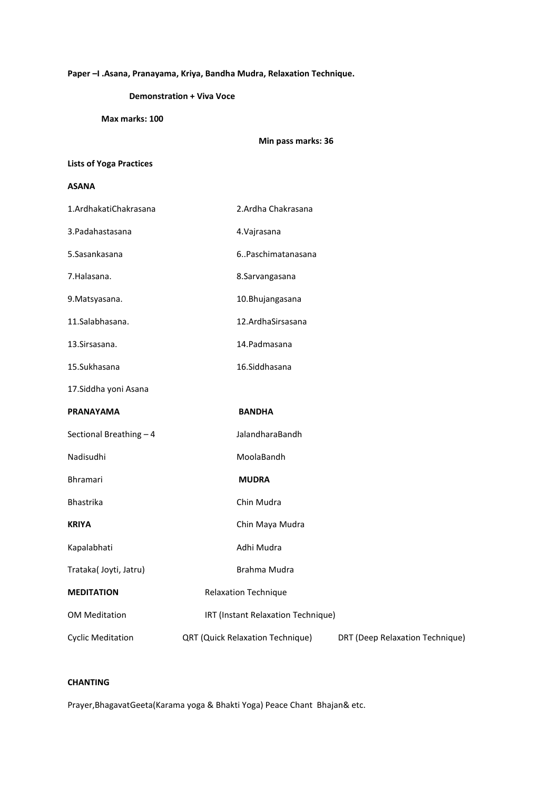# **Paper –I .Asana, Pranayama, Kriya, Bandha Mudra, Relaxation Technique.**

# **Demonstration + Viva Voce**

**Max marks: 100**

|  | Min pass marks: 36 |
|--|--------------------|
|--|--------------------|

# **Lists of Yoga Practices**

# **ASANA**

| 1.ArdhakatiChakrasana    | 2.Ardha Chakrasana                      |                                 |
|--------------------------|-----------------------------------------|---------------------------------|
| 3. Padahastasana         | 4. Vajrasana                            |                                 |
| 5.Sasankasana            | 6Paschimatanasana                       |                                 |
| 7.Halasana.              | 8.Sarvangasana                          |                                 |
| 9. Matsyasana.           | 10.Bhujangasana                         |                                 |
| 11.Salabhasana.          | 12.ArdhaSirsasana                       |                                 |
| 13. Sirsasana.           | 14. Padmasana                           |                                 |
| 15.Sukhasana             | 16.Siddhasana                           |                                 |
| 17. Siddha yoni Asana    |                                         |                                 |
| <b>PRANAYAMA</b>         | <b>BANDHA</b>                           |                                 |
| Sectional Breathing - 4  | JalandharaBandh                         |                                 |
| Nadisudhi                | MoolaBandh                              |                                 |
| <b>Bhramari</b>          | <b>MUDRA</b>                            |                                 |
| Bhastrika                | Chin Mudra                              |                                 |
| <b>KRIYA</b>             | Chin Maya Mudra                         |                                 |
| Kapalabhati              | Adhi Mudra                              |                                 |
| Trataka(Joyti, Jatru)    | Brahma Mudra                            |                                 |
| <b>MEDITATION</b>        | Relaxation Technique                    |                                 |
| <b>OM Meditation</b>     | IRT (Instant Relaxation Technique)      |                                 |
| <b>Cyclic Meditation</b> | <b>QRT (Quick Relaxation Technique)</b> | DRT (Deep Relaxation Technique) |

# **CHANTING**

Prayer,BhagavatGeeta(Karama yoga & Bhakti Yoga) Peace Chant Bhajan& etc.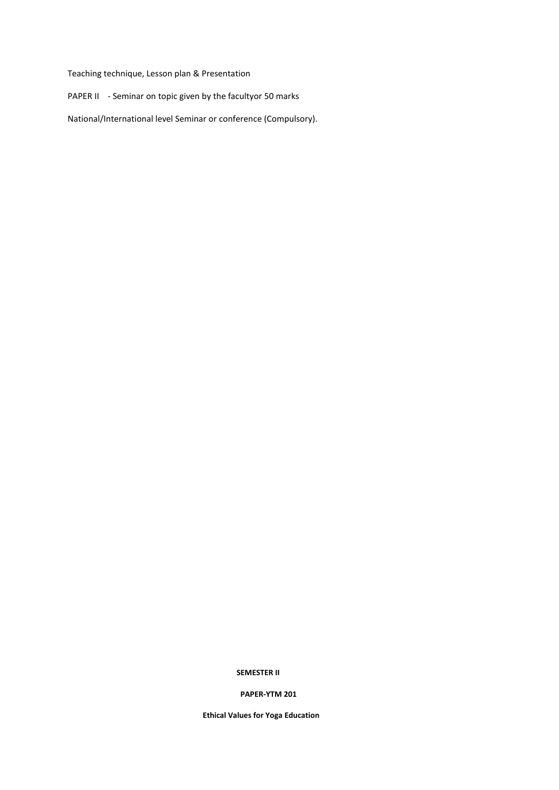Teaching technique, Lesson plan & Presentation

PAPER II - Seminar on topic given by the facultyor 50 marks

National/International level Seminar or conference (Compulsory).

# **SEMESTER II**

# **PAPER-YTM 201**

**Ethical Values for Yoga Education**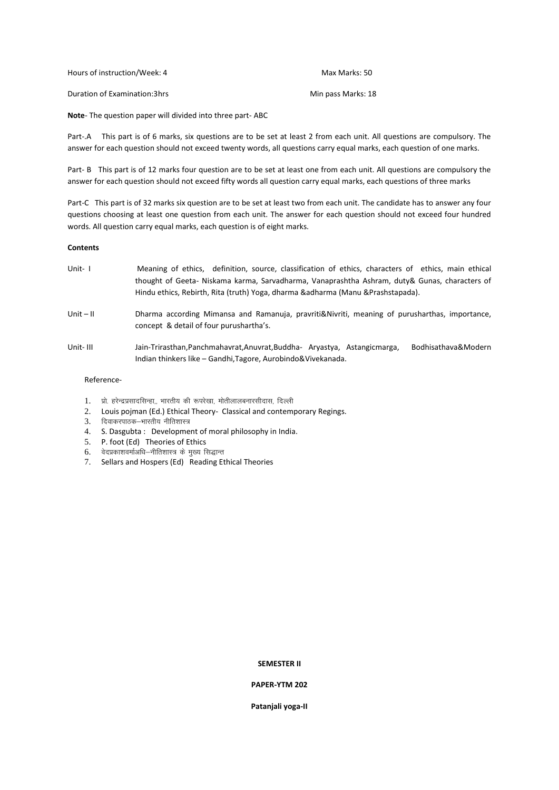| Hours of instruction/Week: 4  | Max Marks: 50      |
|-------------------------------|--------------------|
| Duration of Examination: 3hrs | Min pass Marks: 18 |

**Note**- The question paper will divided into three part- ABC

Part-.A This part is of 6 marks, six questions are to be set at least 2 from each unit. All questions are compulsory. The answer for each question should not exceed twenty words, all questions carry equal marks, each question of one marks.

Part- B This part is of 12 marks four question are to be set at least one from each unit. All questions are compulsory the answer for each question should not exceed fifty words all question carry equal marks, each questions of three marks

Part-C This part is of 32 marks six question are to be set at least two from each unit. The candidate has to answer any four questions choosing at least one question from each unit. The answer for each question should not exceed four hundred words. All question carry equal marks, each question is of eight marks.

# **Contents**

- Unit- I Meaning of ethics, definition, source, classification of ethics, characters of ethics, main ethical thought of Geeta- Niskama karma, Sarvadharma, Vanaprashtha Ashram, duty& Gunas, characters of Hindu ethics, Rebirth, Rita (truth) Yoga, dharma &adharma (Manu &Prashstapada).
- Unit II Dharma according Mimansa and Ramanuja, pravriti&Nivriti, meaning of purusharthas, importance, concept & detail of four purushartha's.
- Unit- III Jain-Trirasthan,Panchmahavrat,Anuvrat,Buddha- Aryastya, Astangicmarga, Bodhisathava&Modern Indian thinkers like – Gandhi,Tagore, Aurobindo&Vivekanada.

## Reference-

- 1. प्रो. हरेन्द्रप्रसादसिन्हा,, भारतीय की रूपरेखा, मोतीलालबनारसीदास, दिल्ली
- 2. Louis pojman (Ed.) Ethical Theory- Classical and contemporary Regings.
- 3. दिवाकरपाठक–भारतीय नीतिशास्त्र
- 4. S. Dasgubta : Development of moral philosophy in India.
- 5. P. foot (Ed) Theories of Ethics
- $6.$  वेदप्रकाशवर्माअधि-नीतिशास्त्र के मुख्य सिद्धान्त
- 7. Sellars and Hospers (Ed) Reading Ethical Theories

## **SEMESTER II**

## **PAPER-YTM 202**

**Patanjali yoga-II**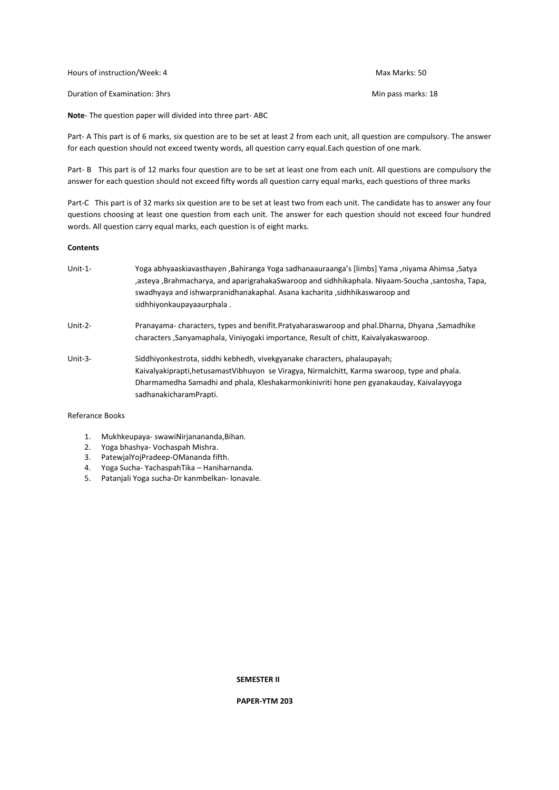Hours of instruction/Week: 4 Max Marks: 50

Duration of Examination: 3hrs Min pass marks: 18

**Note**- The question paper will divided into three part- ABC

Part- A This part is of 6 marks, six question are to be set at least 2 from each unit, all question are compulsory. The answer for each question should not exceed twenty words, all question carry equal.Each question of one mark.

Part- B This part is of 12 marks four question are to be set at least one from each unit. All questions are compulsory the answer for each question should not exceed fifty words all question carry equal marks, each questions of three marks

Part-C This part is of 32 marks six question are to be set at least two from each unit. The candidate has to answer any four questions choosing at least one question from each unit. The answer for each question should not exceed four hundred words. All question carry equal marks, each question is of eight marks.

# **Contents**

- Unit-1- Yoga abhyaaskiavasthayen ,Bahiranga Yoga sadhanaauraanga's [limbs] Yama ,niyama Ahimsa ,Satya ,asteya ,Brahmacharya, and aparigrahakaSwaroop and sidhhikaphala. Niyaam-Soucha ,santosha, Tapa, swadhyaya and ishwarpranidhanakaphal. Asana kacharita ,sidhhikaswaroop and sidhhiyonkaupayaaurphala .
- Unit-2- Pranayama- characters, types and benifit.Pratyaharaswaroop and phal.Dharna, Dhyana ,Samadhike characters ,Sanyamaphala, Viniyogaki importance, Result of chitt, Kaivalyakaswaroop.
- Unit-3- Siddhiyonkestrota, siddhi kebhedh, vivekgyanake characters, phalaupayah; Kaivalyakiprapti,hetusamastVibhuyon se Viragya, Nirmalchitt, Karma swaroop, type and phala. Dharmamedha Samadhi and phala, Kleshakarmonkinivriti hone pen gyanakauday, Kaivalayyoga sadhanakicharamPrapti.

# Referance Books

- 1. Mukhkeupaya- swawiNirjanananda,Bihan.
- 
- 2. Yoga bhashya- Vochaspah Mishra.<br>3. PatewjalYojPradeen-OMananda fif PatewjalYojPradeep-OMananda fifth.
- 4. Yoga Sucha- YachaspahTika Haniharnanda.
- 5. Patanjali Yoga sucha-Dr kanmbelkan- lonavale.

**SEMESTER II**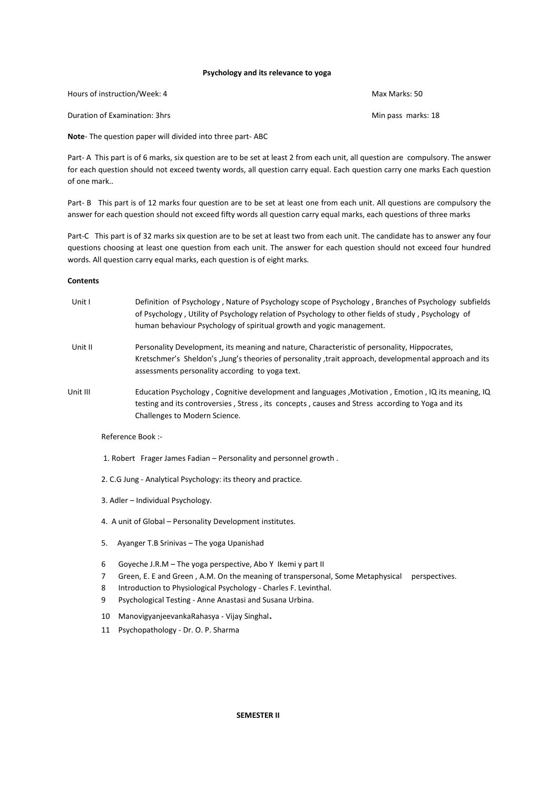## **Psychology and its relevance to yoga**

| Hours of instruction/Week: 4  | Max Marks: 50      |
|-------------------------------|--------------------|
| Duration of Examination: 3hrs | Min pass marks: 18 |

**Note**- The question paper will divided into three part- ABC

Part- A This part is of 6 marks, six question are to be set at least 2 from each unit, all question are compulsory. The answer for each question should not exceed twenty words, all question carry equal. Each question carry one marks Each question of one mark..

Part- B This part is of 12 marks four question are to be set at least one from each unit. All questions are compulsory the answer for each question should not exceed fifty words all question carry equal marks, each questions of three marks

Part-C This part is of 32 marks six question are to be set at least two from each unit. The candidate has to answer any four questions choosing at least one question from each unit. The answer for each question should not exceed four hundred words. All question carry equal marks, each question is of eight marks.

# **Contents**

| Unit I   | Definition of Psychology, Nature of Psychology scope of Psychology, Branches of Psychology subfields<br>of Psychology, Utility of Psychology relation of Psychology to other fields of study, Psychology of<br>human behaviour Psychology of spiritual growth and yogic management. |
|----------|-------------------------------------------------------------------------------------------------------------------------------------------------------------------------------------------------------------------------------------------------------------------------------------|
| Unit II  | Personality Development, its meaning and nature, Characteristic of personality, Hippocrates,<br>Kretschmer's Sheldon's , Jung's theories of personality , trait approach, developmental approach and its<br>assessments personality according to yoga text.                         |
| Unit III | Education Psychology, Cognitive development and languages, Motivation, Emotion, IQ its meaning, IQ<br>testing and its controversies, Stress, its concepts, causes and Stress according to Yoga and its<br>Challenges to Modern Science.                                             |
|          |                                                                                                                                                                                                                                                                                     |

# Reference Book :-

- 1. Robert Frager James Fadian Personality and personnel growth .
- 2. C.G Jung Analytical Psychology: its theory and practice.
- 3. Adler Individual Psychology.
- 4. A unit of Global Personality Development institutes.
- 5. Ayanger T.B Srinivas The yoga Upanishad
- 6 Goyeche J.R.M The yoga perspective, Abo Y Ikemi y part II
- 7 Green, E. E and Green , A.M. On the meaning of transpersonal, Some Metaphysical perspectives.
- 8 Introduction to Physiological Psychology Charles F. Levinthal.
- 9 Psychological Testing Anne Anastasi and Susana Urbina.
- <sup>10</sup> ManovigyanjeevankaRahasya Vijay Singhal.
- 11 Psychopathology Dr. O. P. Sharma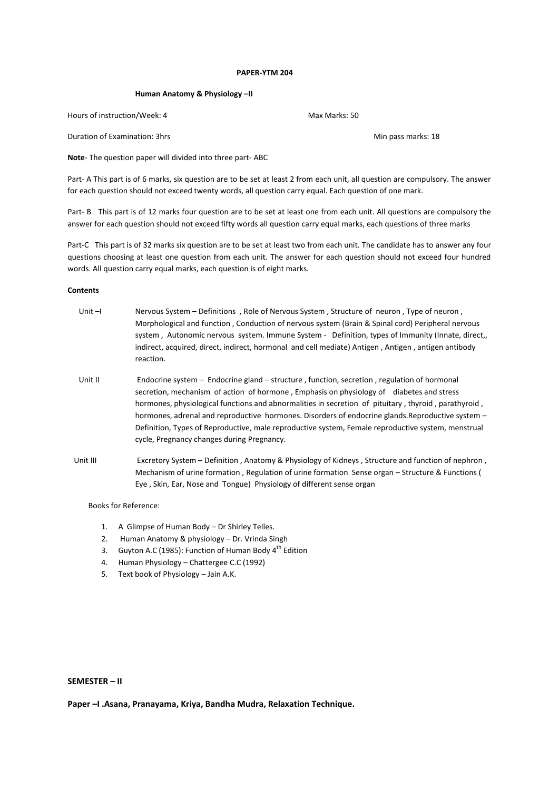#### **PAPER-YTM 204**

#### **Human Anatomy & Physiology –II**

Hours of instruction/Week: 4 Max Marks: 50

Duration of Examination: 3hrs Min pass marks: 18

**Note**- The question paper will divided into three part- ABC

Part- A This part is of 6 marks, six question are to be set at least 2 from each unit, all question are compulsory. The answer for each question should not exceed twenty words, all question carry equal. Each question of one mark.

Part- B This part is of 12 marks four question are to be set at least one from each unit. All questions are compulsory the answer for each question should not exceed fifty words all question carry equal marks, each questions of three marks

Part-C This part is of 32 marks six question are to be set at least two from each unit. The candidate has to answer any four questions choosing at least one question from each unit. The answer for each question should not exceed four hundred words. All question carry equal marks, each question is of eight marks.

# **Contents**

| Unit $-I$ | Nervous System – Definitions, Role of Nervous System, Structure of neuron, Type of neuron,<br>Morphological and function, Conduction of nervous system (Brain & Spinal cord) Peripheral nervous<br>system, Autonomic nervous system. Immune System - Definition, types of Immunity (Innate, direct,<br>indirect, acquired, direct, indirect, hormonal and cell mediate) Antigen, Antigen, antigen antibody<br>reaction.                                                                                                                                  |
|-----------|----------------------------------------------------------------------------------------------------------------------------------------------------------------------------------------------------------------------------------------------------------------------------------------------------------------------------------------------------------------------------------------------------------------------------------------------------------------------------------------------------------------------------------------------------------|
| Unit II   | Endocrine system – Endocrine gland – structure, function, secretion, regulation of hormonal<br>secretion, mechanism of action of hormone, Emphasis on physiology of diabetes and stress<br>hormones, physiological functions and abnormalities in secretion of pituitary, thyroid, parathyroid,<br>hormones, adrenal and reproductive hormones. Disorders of endocrine glands. Reproductive system –<br>Definition, Types of Reproductive, male reproductive system, Female reproductive system, menstrual<br>cycle, Pregnancy changes during Pregnancy. |
| Unit III  | Excretory System – Definition, Anatomy & Physiology of Kidneys, Structure and function of nephron,<br>Mechanism of urine formation, Regulation of urine formation Sense organ – Structure & Functions (<br>Eye, Skin, Ear, Nose and Tongue) Physiology of different sense organ                                                                                                                                                                                                                                                                          |

Books for Reference:

- 1. A Glimpse of Human Body Dr Shirley Telles.
- 2. Human Anatomy & physiology Dr. Vrinda Singh
- 3. Guyton A.C (1985): Function of Human Body  $4^{th}$  Edition
- 4. Human Physiology Chattergee C.C (1992)
- 5. Text book of Physiology Jain A.K.

# **SEMESTER – II**

**Paper –I .Asana, Pranayama, Kriya, Bandha Mudra, Relaxation Technique.**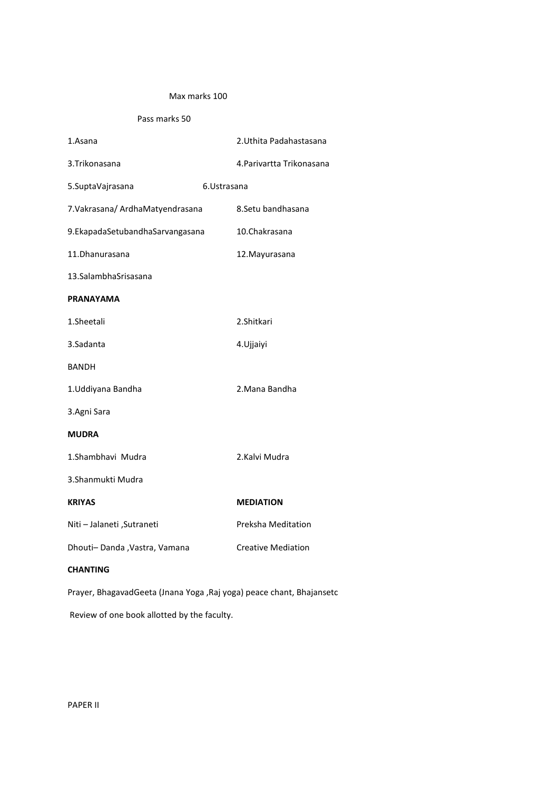# Max marks 100

Pass marks 50

| 1.Asana                          | 2. Uthita Padahastasana   |
|----------------------------------|---------------------------|
| 3.Trikonasana                    | 4. Parivartta Trikonasana |
| 5.SuptaVajrasana                 | 6.Ustrasana               |
| 7. Vakrasana/ ArdhaMatyendrasana | 8.Setu bandhasana         |
| 9.EkapadaSetubandhaSarvangasana  | 10.Chakrasana             |
| 11.Dhanurasana                   | 12. Mayurasana            |
| 13. Salambha Srisasana           |                           |
| <b>PRANAYAMA</b>                 |                           |
| 1.Sheetali                       | 2.Shitkari                |
| 3.Sadanta                        | 4. Ujjaiyi                |
| <b>BANDH</b>                     |                           |
| 1. Uddiyana Bandha               | 2.Mana Bandha             |
| 3.Agni Sara                      |                           |
| <b>MUDRA</b>                     |                           |
| 1.Shambhavi Mudra                | 2.Kalvi Mudra             |
| 3.Shanmukti Mudra                |                           |
| <b>KRIYAS</b>                    | <b>MEDIATION</b>          |
| Niti - Jalaneti , Sutraneti      | Preksha Meditation        |
| Dhouti-Danda, Vastra, Vamana     | <b>Creative Mediation</b> |
| <b>CHANTING</b>                  |                           |

Prayer, BhagavadGeeta (Jnana Yoga ,Raj yoga) peace chant, Bhajansetc

Review of one book allotted by the faculty.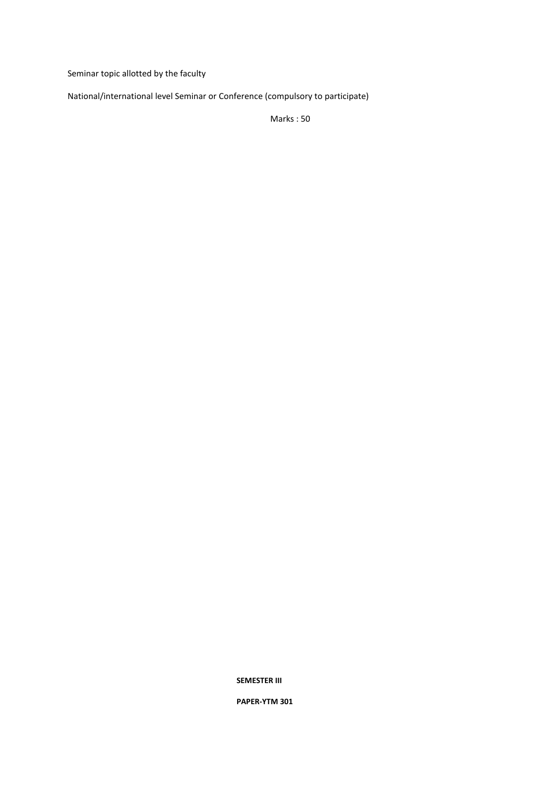Seminar topic allotted by the faculty

National/international level Seminar or Conference (compulsory to participate)

Marks : 50

**SEMESTER III**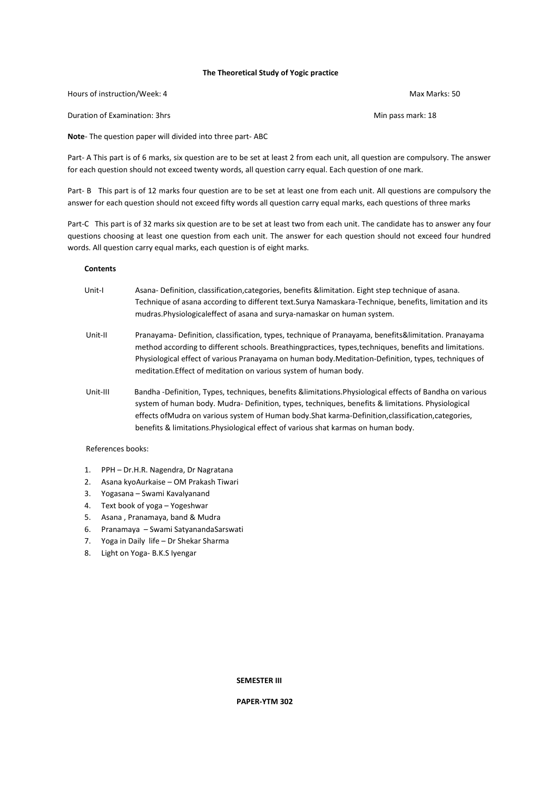# **The Theoretical Study of Yogic practice**

Hours of instruction/Week: 4 Max Marks: 50

Duration of Examination: 3hrs Min pass mark: 18

**Note**- The question paper will divided into three part- ABC

Part- A This part is of 6 marks, six question are to be set at least 2 from each unit, all question are compulsory. The answer for each question should not exceed twenty words, all question carry equal. Each question of one mark.

Part- B This part is of 12 marks four question are to be set at least one from each unit. All questions are compulsory the answer for each question should not exceed fifty words all question carry equal marks, each questions of three marks

Part-C This part is of 32 marks six question are to be set at least two from each unit. The candidate has to answer any four questions choosing at least one question from each unit. The answer for each question should not exceed four hundred words. All question carry equal marks, each question is of eight marks.

# **Contents**

- Unit-I Asana- Definition, classification,categories, benefits &limitation. Eight step technique of asana. Technique of asana according to different text.Surya Namaskara-Technique, benefits, limitation and its mudras.Physiologicaleffect of asana and surya-namaskar on human system.
- Unit-II Pranayama- Definition, classification, types, technique of Pranayama, benefits&limitation. Pranayama method according to different schools. Breathingpractices, types,techniques, benefits and limitations. Physiological effect of various Pranayama on human body.Meditation-Definition, types, techniques of meditation.Effect of meditation on various system of human body.
- Unit-III Bandha -Definition, Types, techniques, benefits &limitations.Physiological effects of Bandha on various system of human body. Mudra- Definition, types, techniques, benefits & limitations. Physiological effects ofMudra on various system of Human body.Shat karma-Definition,classification,categories, benefits & limitations.Physiological effect of various shat karmas on human body.

# References books:

- 1. PPH Dr.H.R. Nagendra, Dr Nagratana
- 2. Asana kyoAurkaise OM Prakash Tiwari
- 3. Yogasana Swami Kavalyanand
- 4. Text book of yoga Yogeshwar
- 5. Asana , Pranamaya, band & Mudra
- 6. Pranamaya Swami SatyanandaSarswati
- 7. Yoga in Daily life Dr Shekar Sharma
- 8. Light on Yoga- B.K.S Iyengar

## **SEMESTER III**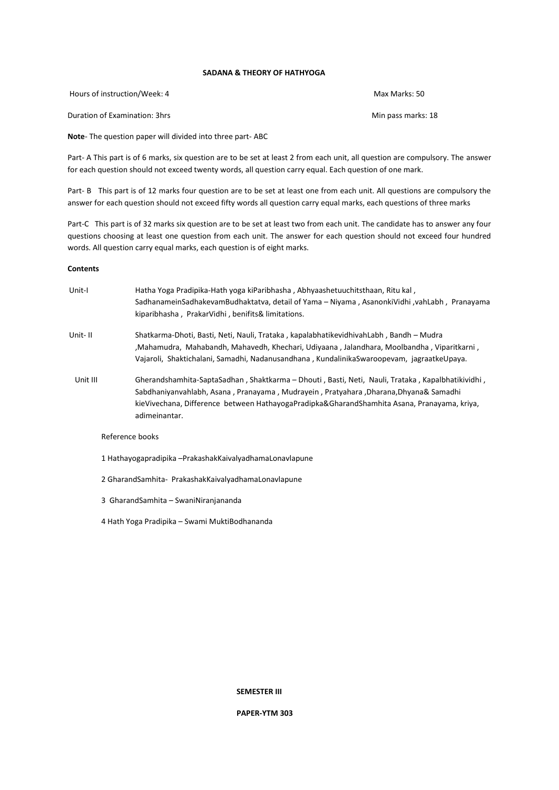# **SADANA & THEORY OF HATHYOGA**

Hours of instruction/Week: 4 Max Marks: 50

Duration of Examination: 3hrs Min pass marks: 18

**Note**- The question paper will divided into three part- ABC

Part- A This part is of 6 marks, six question are to be set at least 2 from each unit, all question are compulsory. The answer for each question should not exceed twenty words, all question carry equal. Each question of one mark.

Part- B This part is of 12 marks four question are to be set at least one from each unit. All questions are compulsory the answer for each question should not exceed fifty words all question carry equal marks, each questions of three marks

Part-C This part is of 32 marks six question are to be set at least two from each unit. The candidate has to answer any four questions choosing at least one question from each unit. The answer for each question should not exceed four hundred words. All question carry equal marks, each question is of eight marks.

# **Contents**

| Unit-I   | Hatha Yoga Pradipika-Hath yoga kiParibhasha, Abhyaashetuuchitsthaan, Ritu kal,<br>SadhanameinSadhakevamBudhaktatva, detail of Yama – Niyama, AsanonkiVidhi, yahLabh, Pranayama<br>kiparibhasha, PrakarVidhi, benifits& limitations.                                                                        |
|----------|------------------------------------------------------------------------------------------------------------------------------------------------------------------------------------------------------------------------------------------------------------------------------------------------------------|
| Unit- II | Shatkarma-Dhoti, Basti, Neti, Nauli, Trataka, kapalabhatikevidhivahLabh, Bandh – Mudra<br>, Mahamudra, Mahabandh, Mahavedh, Khechari, Udiyaana, Jalandhara, Moolbandha, Viparitkarni,<br>Vajaroli, Shaktichalani, Samadhi, Nadanusandhana, KundalinikaSwaroopevam, jagraatkeUpaya.                         |
| Unit III | Gherandshamhita-SaptaSadhan, Shaktkarma – Dhouti, Basti, Neti, Nauli, Trataka, Kapalbhatikividhi,<br>Sabdhaniyanvahlabh, Asana, Pranayama, Mudrayein, Pratyahara, Dharana, Dhyana& Samadhi<br>kieVivechana, Difference between HathayogaPradipka&GharandShamhita Asana, Pranayama, kriya,<br>adimeinantar. |
|          | Reference books                                                                                                                                                                                                                                                                                            |

1 Hathayogapradipika –PrakashakKaivalyadhamaLonavlapune

2 GharandSamhita- PrakashakKaivalyadhamaLonavlapune

3 GharandSamhita – SwaniNiranjananda

4 Hath Yoga Pradipika – Swami MuktiBodhananda

**SEMESTER III**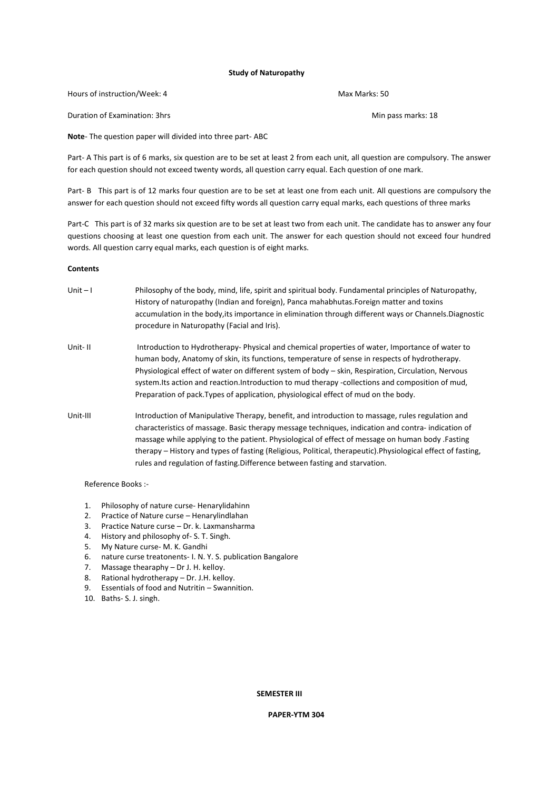# **Study of Naturopathy**

Hours of instruction/Week: 4 Max Marks: 50

Duration of Examination: 3hrs Min pass marks: 18

**Note**- The question paper will divided into three part- ABC

Part- A This part is of 6 marks, six question are to be set at least 2 from each unit, all question are compulsory. The answer for each question should not exceed twenty words, all question carry equal. Each question of one mark.

Part- B This part is of 12 marks four question are to be set at least one from each unit. All questions are compulsory the answer for each question should not exceed fifty words all question carry equal marks, each questions of three marks

Part-C This part is of 32 marks six question are to be set at least two from each unit. The candidate has to answer any four questions choosing at least one question from each unit. The answer for each question should not exceed four hundred words. All question carry equal marks, each question is of eight marks.

## **Contents**

Unit – I Philosophy of the body, mind, life, spirit and spiritual body. Fundamental principles of Naturopathy, History of naturopathy (Indian and foreign), Panca mahabhutas.Foreign matter and toxins accumulation in the body,its importance in elimination through different ways or Channels.Diagnostic procedure in Naturopathy (Facial and Iris). Unit- II Introduction to Hydrotherapy- Physical and chemical properties of water, Importance of water to human body, Anatomy of skin, its functions, temperature of sense in respects of hydrotherapy. Physiological effect of water on different system of body – skin, Respiration, Circulation, Nervous system.Its action and reaction.Introduction to mud therapy -collections and composition of mud, Preparation of pack.Types of application, physiological effect of mud on the body. Unit-III Introduction of Manipulative Therapy, benefit, and introduction to massage, rules regulation and characteristics of massage. Basic therapy message techniques, indication and contra- indication of massage while applying to the patient. Physiological of effect of message on human body .Fasting therapy – History and types of fasting (Religious, Political, therapeutic).Physiological effect of fasting, rules and regulation of fasting.Difference between fasting and starvation.

Reference Books :-

- 1. Philosophy of nature curse- Henarylidahinn
- 2. Practice of Nature curse Henarylindlahan
- 3. Practice Nature curse Dr. k. Laxmansharma
- 4. History and philosophy of- S. T. Singh.
- 5. My Nature curse- M. K. Gandhi
- 6. nature curse treatonents- I. N. Y. S. publication Bangalore
- 7. Massage thearaphy Dr J. H. kelloy.
- 8. Rational hydrotherapy Dr. J.H. kelloy.
- 9. Essentials of food and Nutritin Swannition.
- 10. Baths- S. J. singh.

# **SEMESTER III**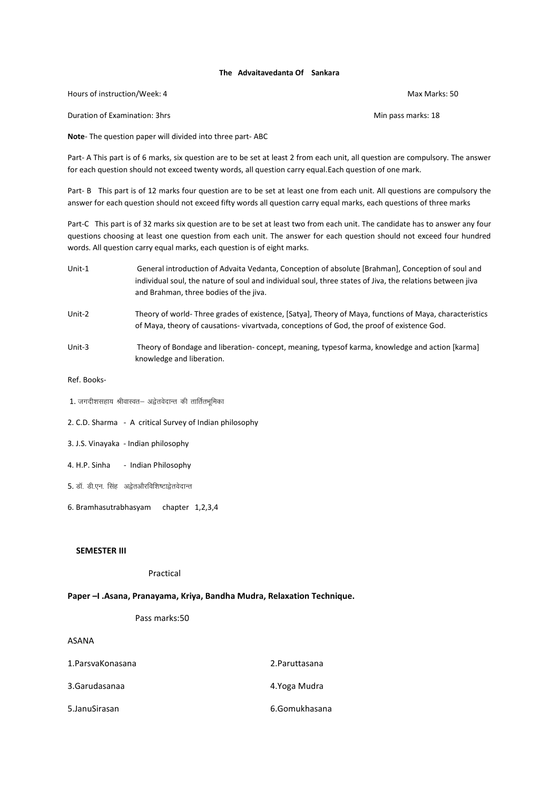# **The Advaitavedanta Of Sankara**

Hours of instruction/Week: 4 Max Marks: 50

Duration of Examination: 3hrs Min pass marks: 18

**Note**- The question paper will divided into three part- ABC

Part- A This part is of 6 marks, six question are to be set at least 2 from each unit, all question are compulsory. The answer for each question should not exceed twenty words, all question carry equal.Each question of one mark.

Part- B This part is of 12 marks four question are to be set at least one from each unit. All questions are compulsory the answer for each question should not exceed fifty words all question carry equal marks, each questions of three marks

Part-C This part is of 32 marks six question are to be set at least two from each unit. The candidate has to answer any four questions choosing at least one question from each unit. The answer for each question should not exceed four hundred words. All question carry equal marks, each question is of eight marks.

- Unit-1 General introduction of Advaita Vedanta, Conception of absolute [Brahman], Conception of soul and individual soul, the nature of soul and individual soul, three states of Jiva, the relations between jiva and Brahman, three bodies of the jiva. Unit-2 Theory of world- Three grades of existence, [Satya], Theory of Maya, functions of Maya, characteristics
- of Maya, theory of causations- vivartvada, conceptions of God, the proof of existence God.
- Unit-3 Theory of Bondage and liberation- concept, meaning, typesof karma, knowledge and action [karma] knowledge and liberation.
- Ref. Books-
- $1.$  जगदीशसहाय श्रीवास्वत– अद्वेतवेदान्त की तार्तितभमिका
- 2. C.D. Sharma A critical Survey of Indian philosophy
- 3. J.S. Vinayaka Indian philosophy
- 4. H.P. Sinha Indian Philosophy
- 5. डॉ. डी.एन. सिंह अद्वेतऔरविशिष्टाद्वेतवेदान्त
- 6. Bramhasutrabhasyam chapter 1,2,3,4

# **SEMESTER III**

# Practical

# **Paper –I .Asana, Pranayama, Kriya, Bandha Mudra, Relaxation Technique.**

# Pass marks:50

# ASANA

| 1. Parsva Konasana | 2. Paruttasana |
|--------------------|----------------|
| 3.Garudasanaa      | 4.Yoga Mudra   |
| 5. Janu Sirasan    | 6.Gomukhasana  |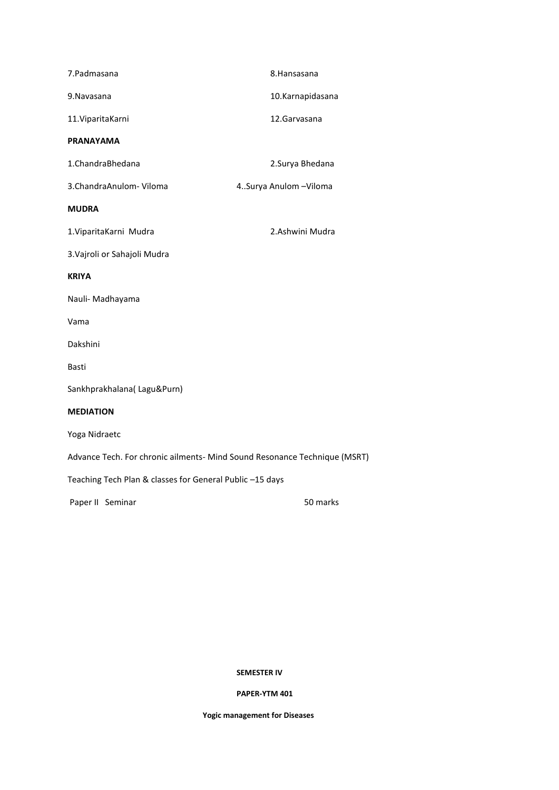| 7.Padmasana                                                               | 8. Hansasana           |  |
|---------------------------------------------------------------------------|------------------------|--|
| 9. Navasana                                                               | 10.Karnapidasana       |  |
| 11. Viparita Karni                                                        | 12. Garvasana          |  |
| <b>PRANAYAMA</b>                                                          |                        |  |
| 1.ChandraBhedana                                                          | 2.Surya Bhedana        |  |
| 3. Chandra Anulom - Viloma                                                | 4Surya Anulom - Viloma |  |
| <b>MUDRA</b>                                                              |                        |  |
| 1. Viparita Karni Mudra                                                   | 2.Ashwini Mudra        |  |
| 3. Vajroli or Sahajoli Mudra                                              |                        |  |
| <b>KRIYA</b>                                                              |                        |  |
| Nauli- Madhayama                                                          |                        |  |
| Vama                                                                      |                        |  |
| Dakshini                                                                  |                        |  |
| Basti                                                                     |                        |  |
| Sankhprakhalana(Lagu&Purn)                                                |                        |  |
| <b>MEDIATION</b>                                                          |                        |  |
| Yoga Nidraetc                                                             |                        |  |
| Advance Tech. For chronic ailments- Mind Sound Resonance Technique (MSRT) |                        |  |
| Teaching Tech Plan & classes for General Public -15 days                  |                        |  |
| Paper II Seminar                                                          | 50 marks               |  |

# **SEMESTER IV**

# **PAPER-YTM 401**

**Yogic management for Diseases**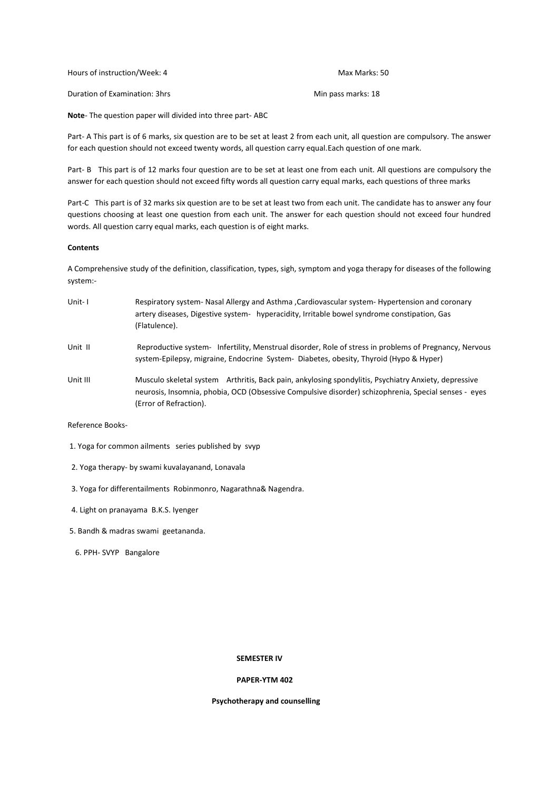| Hours of instruction/Week: 4  | Max Marks: 50      |
|-------------------------------|--------------------|
| Duration of Examination: 3hrs | Min pass marks: 18 |

**Note**- The question paper will divided into three part- ABC

Part- A This part is of 6 marks, six question are to be set at least 2 from each unit, all question are compulsory. The answer for each question should not exceed twenty words, all question carry equal.Each question of one mark.

Part- B This part is of 12 marks four question are to be set at least one from each unit. All questions are compulsory the answer for each question should not exceed fifty words all question carry equal marks, each questions of three marks

Part-C This part is of 32 marks six question are to be set at least two from each unit. The candidate has to answer any four questions choosing at least one question from each unit. The answer for each question should not exceed four hundred words. All question carry equal marks, each question is of eight marks.

# **Contents**

A Comprehensive study of the definition, classification, types, sigh, symptom and yoga therapy for diseases of the following system:-

Unit- I Respiratory system- Nasal Allergy and Asthma ,Cardiovascular system- Hypertension and coronary artery diseases, Digestive system- hyperacidity, Irritable bowel syndrome constipation, Gas (Flatulence). Unit II Reproductive system- Infertility, Menstrual disorder, Role of stress in problems of Pregnancy, Nervous system-Epilepsy, migraine, Endocrine System- Diabetes, obesity, Thyroid (Hypo & Hyper) Unit III Musculo skeletal system Arthritis, Back pain, ankylosing spondylitis, Psychiatry Anxiety, depressive neurosis, Insomnia, phobia, OCD (Obsessive Compulsive disorder) schizophrenia, Special senses - eyes (Error of Refraction).

Reference Books-

- 1. Yoga for common ailments series published by svyp
- 2. Yoga therapy- by swami kuvalayanand, Lonavala
- 3. Yoga for differentailments Robinmonro, Nagarathna& Nagendra.
- 4. Light on pranayama B.K.S. Iyenger
- 5. Bandh & madras swami geetananda.
- 6. PPH- SVYP Bangalore

# **SEMESTER IV**

# **PAPER-YTM 402**

# **Psychotherapy and counselling**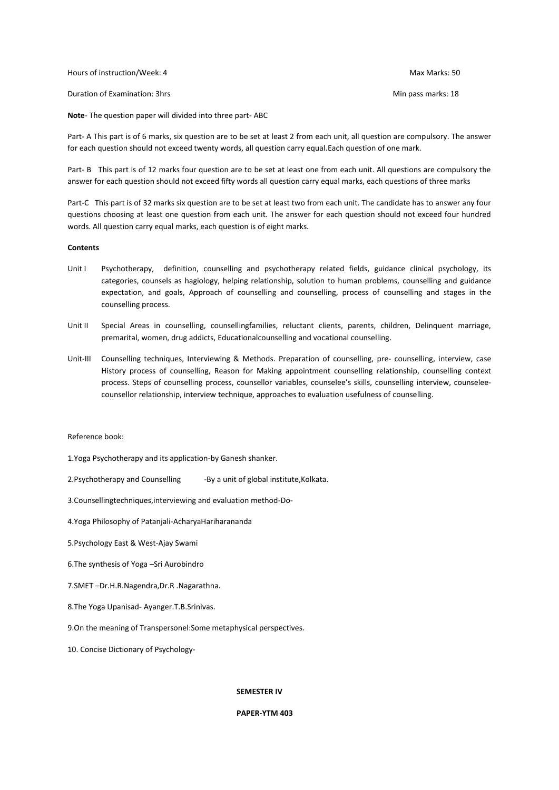Hours of instruction/Week: 4 Max Marks: 50

Duration of Examination: 3hrs Min pass marks: 18

**Note**- The question paper will divided into three part- ABC

Part- A This part is of 6 marks, six question are to be set at least 2 from each unit, all question are compulsory. The answer for each question should not exceed twenty words, all question carry equal.Each question of one mark.

Part- B This part is of 12 marks four question are to be set at least one from each unit. All questions are compulsory the answer for each question should not exceed fifty words all question carry equal marks, each questions of three marks

Part-C This part is of 32 marks six question are to be set at least two from each unit. The candidate has to answer any four questions choosing at least one question from each unit. The answer for each question should not exceed four hundred words. All question carry equal marks, each question is of eight marks.

# **Contents**

- Unit I Psychotherapy, definition, counselling and psychotherapy related fields, guidance clinical psychology, its categories, counsels as hagiology, helping relationship, solution to human problems, counselling and guidance expectation, and goals, Approach of counselling and counselling, process of counselling and stages in the counselling process.
- Unit II Special Areas in counselling, counsellingfamilies, reluctant clients, parents, children, Delinquent marriage, premarital, women, drug addicts, Educationalcounselling and vocational counselling.
- Unit-III Counselling techniques, Interviewing & Methods. Preparation of counselling, pre- counselling, interview, case History process of counselling, Reason for Making appointment counselling relationship, counselling context process. Steps of counselling process, counsellor variables, counselee's skills, counselling interview, counseleecounsellor relationship, interview technique, approaches to evaluation usefulness of counselling.

# Reference book:

- 1.Yoga Psychotherapy and its application-by Ganesh shanker.
- 2.Psychotherapy and Counselling -By a unit of global institute.Kolkata.
- 3.Counsellingtechniques,interviewing and evaluation method-Do-
- 4.Yoga Philosophy of Patanjali-AcharyaHariharananda
- 5.Psychology East & West-Ajay Swami
- 6.The synthesis of Yoga –Sri Aurobindro
- 7.SMET –Dr.H.R.Nagendra,Dr.R .Nagarathna.
- 8.The Yoga Upanisad- Ayanger.T.B.Srinivas.
- 9.On the meaning of Transpersonel:Some metaphysical perspectives.
- 10. Concise Dictionary of Psychology-

# **SEMESTER IV**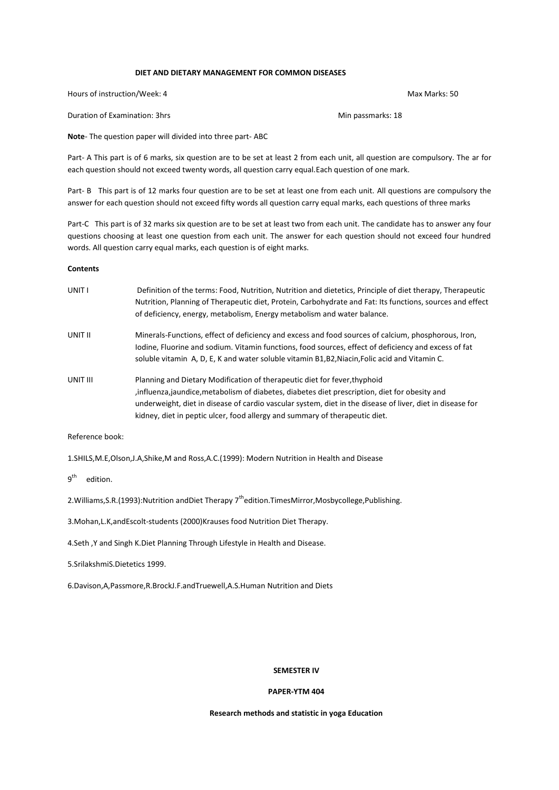#### **DIET AND DIETARY MANAGEMENT FOR COMMON DISEASES**

Hours of instruction/Week: 4 Max Marks: 50

Duration of Examination: 3hrs Min passmarks: 18

**Note**- The question paper will divided into three part- ABC

Part- A This part is of 6 marks, six question are to be set at least 2 from each unit, all question are compulsory. The ar for each question should not exceed twenty words, all question carry equal.Each question of one mark.

Part- B This part is of 12 marks four question are to be set at least one from each unit. All questions are compulsory the answer for each question should not exceed fifty words all question carry equal marks, each questions of three marks

Part-C This part is of 32 marks six question are to be set at least two from each unit. The candidate has to answer any four questions choosing at least one question from each unit. The answer for each question should not exceed four hundred words. All question carry equal marks, each question is of eight marks.

#### **Contents**

UNIT I Definition of the terms: Food, Nutrition, Nutrition and dietetics, Principle of diet therapy, Therapeutic Nutrition, Planning of Therapeutic diet, Protein, Carbohydrate and Fat: Its functions, sources and effect of deficiency, energy, metabolism, Energy metabolism and water balance. UNIT II Minerals-Functions, effect of deficiency and excess and food sources of calcium, phosphorous, Iron, Iodine, Fluorine and sodium. Vitamin functions, food sources, effect of deficiency and excess of fat soluble vitamin A, D, E, K and water soluble vitamin B1,B2,Niacin,Folic acid and Vitamin C. UNIT III Planning and Dietary Modification of therapeutic diet for fever,thyphoid ,influenza,jaundice,metabolism of diabetes, diabetes diet prescription, diet for obesity and underweight, diet in disease of cardio vascular system, diet in the disease of liver, diet in disease for kidney, diet in peptic ulcer, food allergy and summary of therapeutic diet.

Reference book:

1.SHILS,M.E,Olson,J.A,Shike,M and Ross,A.C.(1999): Modern Nutrition in Health and Disease

 $9^{\text{th}}$ edition.

2. Williams, S.R. (1993): Nutrition and Diet Therapy 7<sup>th</sup>edition. Times Mirror, Mosbycollege, Publishing.

3.Mohan,L.K,andEscolt-students (2000)Krauses food Nutrition Diet Therapy.

4.Seth ,Y and Singh K.Diet Planning Through Lifestyle in Health and Disease.

5.SrilakshmiS.Dietetics 1999.

6.Davison,A,Passmore,R.BrockJ.F.andTruewell,A.S.Human Nutrition and Diets

#### **SEMESTER IV**

#### **PAPER-YTM 404**

# **Research methods and statistic in yoga Education**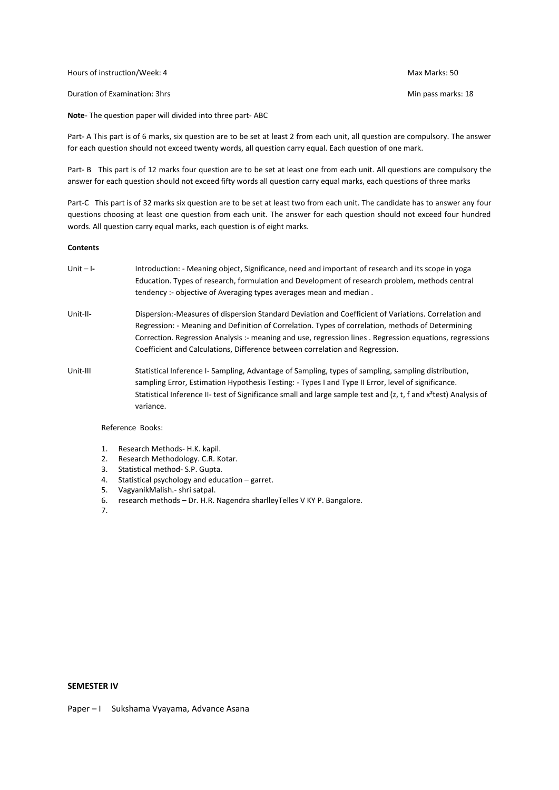Hours of instruction/Week: 4 Max Marks: 50

Duration of Examination: 3hrs Min pass marks: 18

**Note**- The question paper will divided into three part- ABC

Part- A This part is of 6 marks, six question are to be set at least 2 from each unit, all question are compulsory. The answer for each question should not exceed twenty words, all question carry equal. Each question of one mark.

Part- B This part is of 12 marks four question are to be set at least one from each unit. All questions are compulsory the answer for each question should not exceed fifty words all question carry equal marks, each questions of three marks

Part-C This part is of 32 marks six question are to be set at least two from each unit. The candidate has to answer any four questions choosing at least one question from each unit. The answer for each question should not exceed four hundred words. All question carry equal marks, each question is of eight marks.

## **Contents**

- Unit I**-** Introduction: Meaning object, Significance, need and important of research and its scope in yoga Education. Types of research, formulation and Development of research problem, methods central tendency :- objective of Averaging types averages mean and median .
- Unit-II**-** Dispersion:-Measures of dispersion Standard Deviation and Coefficient of Variations. Correlation and Regression: - Meaning and Definition of Correlation. Types of correlation, methods of Determining Correction. Regression Analysis :- meaning and use, regression lines . Regression equations, regressions Coefficient and Calculations, Difference between correlation and Regression.
- Unit-III Statistical Inference I- Sampling, Advantage of Sampling, types of sampling, sampling distribution, sampling Error, Estimation Hypothesis Testing: - Types I and Type II Error, level of significance. Statistical Inference II- test of Significance small and large sample test and (z, t, f and x<sup>2</sup>test) Analysis of variance.

Reference Books:

- 1. Research Methods- H.K. kapil.
- 2. Research Methodology. C.R. Kotar.
- 3. Statistical method- S.P. Gupta.<br>4. Statistical psychology and educ
- Statistical psychology and education  $-$  garret.
- 5. VagyanikMalish.- shri satpal.
- 6. research methods Dr. H.R. Nagendra sharlleyTelles V KY P. Bangalore.
- 7.

#### **SEMESTER IV**

Paper – I Sukshama Vyayama, Advance Asana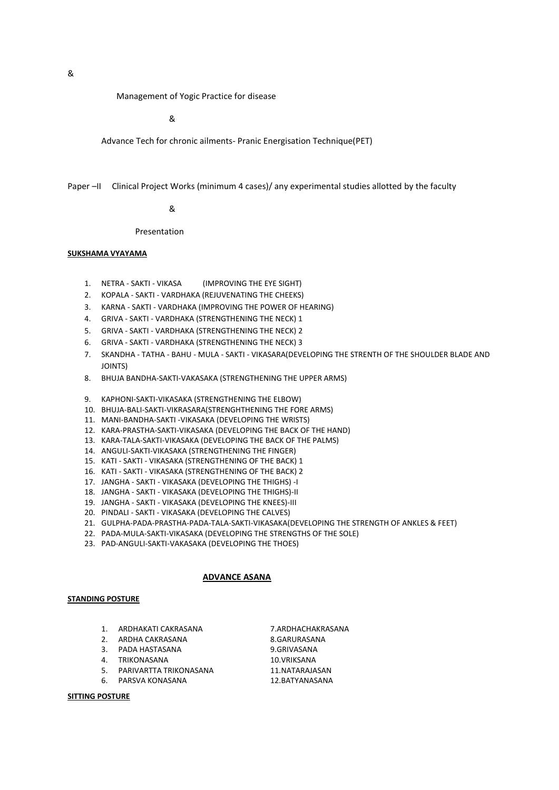Management of Yogic Practice for disease

&

Advance Tech for chronic ailments- Pranic Energisation Technique(PET)

## Paper –II Clinical Project Works (minimum 4 cases)/ any experimental studies allotted by the faculty

# &

Presentation

# **SUKSHAMA VYAYAMA**

- 1. NETRA SAKTI VIKASA (IMPROVING THE EYE SIGHT)
- 2. KOPALA SAKTI VARDHAKA (REJUVENATING THE CHEEKS)
- 3. KARNA SAKTI VARDHAKA (IMPROVING THE POWER OF HEARING)
- 4. GRIVA SAKTI VARDHAKA (STRENGTHENING THE NECK) 1
- 5. GRIVA SAKTI VARDHAKA (STRENGTHENING THE NECK) 2
- 6. GRIVA SAKTI VARDHAKA (STRENGTHENING THE NECK) 3
- 7. SKANDHA TATHA BAHU MULA SAKTI VIKASARA(DEVELOPING THE STRENTH OF THE SHOULDER BLADE AND JOINTS)
- 8. BHUJA BANDHA-SAKTI-VAKASAKA (STRENGTHENING THE UPPER ARMS)
- 9. KAPHONI-SAKTI-VIKASAKA (STRENGTHENING THE ELBOW)
- 10. BHUJA-BALI-SAKTI-VIKRASARA(STRENGHTHENING THE FORE ARMS)
- 11. MANI-BANDHA-SAKTI -VIKASAKA (DEVELOPING THE WRISTS)
- 12. KARA-PRASTHA-SAKTI-VIKASAKA (DEVELOPING THE BACK OF THE HAND)
- 13. KARA-TALA-SAKTI-VIKASAKA (DEVELOPING THE BACK OF THE PALMS)
- 14. ANGULI-SAKTI-VIKASAKA (STRENGTHENING THE FINGER)
- 15. KATI SAKTI VIKASAKA (STRENGTHENING OF THE BACK) 1
- 16. KATI SAKTI VIKASAKA (STRENGTHENING OF THE BACK) 2
- 17. JANGHA SAKTI VIKASAKA (DEVELOPING THE THIGHS) -I
- 18. JANGHA SAKTI VIKASAKA (DEVELOPING THE THIGHS)-II
- 19. JANGHA SAKTI VIKASAKA (DEVELOPING THE KNEES)-III
- 20. PINDALI SAKTI VIKASAKA (DEVELOPING THE CALVES)
- 21. GULPHA-PADA-PRASTHA-PADA-TALA-SAKTI-VIKASAKA(DEVELOPING THE STRENGTH OF ANKLES & FEET)
- 22. PADA-MULA-SAKTI-VIKASAKA (DEVELOPING THE STRENGTHS OF THE SOLE)
- 23. PAD-ANGULI-SAKTI-VAKASAKA (DEVELOPING THE THOES)

# **ADVANCE ASANA**

# **STANDING POSTURE**

- 1. ARDHAKATI CAKRASANA 7.ARDHACHAKRASANA
- 2. ARDHA CAKRASANA 8.GARURASANA
- 3. PADA HASTASANA 9.GRIVASANA
- 4. TRIKONASANA 10.VRIKSANA

5. PARIVARTTA TRIKONASANA 11.NATARAJASAN

6. PARSVA KONASANA 12.BATYANASANA

# **SITTING POSTURE**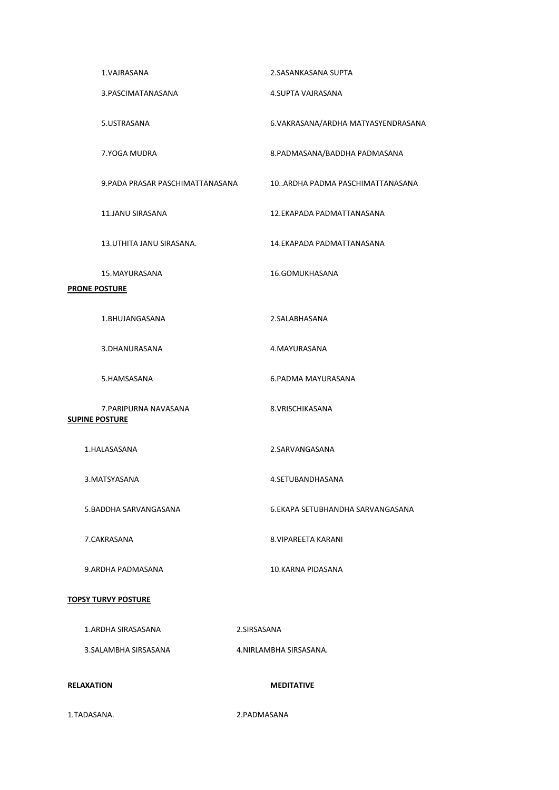| 1.TADASANA.                                    | 2.PADMASANA                        |
|------------------------------------------------|------------------------------------|
| <b>RELAXATION</b>                              | <b>MEDITATIVE</b>                  |
| 3. SALAMBHA SIRSASANA                          | 4. NIRLAMBHA SIRSASANA.            |
| 1.ARDHA SIRASASANA                             | 2.SIRSASANA                        |
| <b>TOPSY TURVY POSTURE</b>                     |                                    |
| 9.ARDHA PADMASANA                              | 10.KARNA PIDASANA                  |
| 7.CAKRASANA                                    | 8. VIPAREETA KARANI                |
| 5. BADDHA SARVANGASANA                         | 6.EKAPA SETUBHANDHA SARVANGASANA   |
| 3. MATSYASANA                                  | 4.SETUBANDHASANA                   |
| 1.HALASASANA                                   | 2.SARVANGASANA                     |
| 7. PARIPURNA NAVASANA<br><b>SUPINE POSTURE</b> | 8. VRISCHIKASANA                   |
| 5.HAMSASANA                                    | 6.PADMA MAYURASANA                 |
| 3.DHANURASANA                                  | 4.MAYURASANA                       |
| 1.BHUJANGASANA                                 | 2.SALABHASANA                      |
| <b>PRONE POSTURE</b>                           |                                    |
| 15.MAYURASANA                                  | 16.GOMUKHASANA                     |
| 13. UTHITA JANU SIRASANA.                      | 14.EKAPADA PADMATTANASANA          |
| 11.JANU SIRASANA                               | 12.EKAPADA PADMATTANASANA          |
| 9. PADA PRASAR PASCHIMATTANASANA               | 10ARDHA PADMA PASCHIMATTANASANA    |
| 7.YOGA MUDRA                                   | 8.PADMASANA/BADDHA PADMASANA       |
| 5.USTRASANA                                    | 6.VAKRASANA/ARDHA MATYASYENDRASANA |
| 3. PASCIMATANASANA                             | 4.SUPTA VAJRASANA                  |
| 1.VAJRASANA                                    | 2.SASANKASANA SUPTA                |